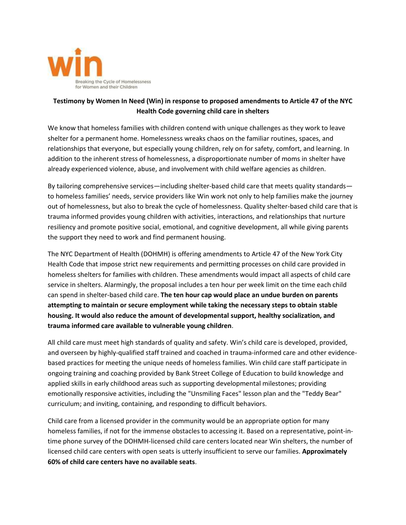

## **Testimony by Women In Need (Win) in response to proposed amendments to Article 47 of the NYC Health Code governing child care in shelters**

We know that homeless families with children contend with unique challenges as they work to leave shelter for a permanent home. Homelessness wreaks chaos on the familiar routines, spaces, and relationships that everyone, but especially young children, rely on for safety, comfort, and learning. In addition to the inherent stress of homelessness, a disproportionate number of moms in shelter have already experienced violence, abuse, and involvement with child welfare agencies as children.

By tailoring comprehensive services—including shelter-based child care that meets quality standards to homeless families' needs, service providers like Win work not only to help families make the journey out of homelessness, but also to break the cycle of homelessness. Quality shelter-based child care that is trauma informed provides young children with activities, interactions, and relationships that nurture resiliency and promote positive social, emotional, and cognitive development, all while giving parents the support they need to work and find permanent housing.

The NYC Department of Health (DOHMH) is offering amendments to Article 47 of the New York City Health Code that impose strict new requirements and permitting processes on child care provided in homeless shelters for families with children. These amendments would impact all aspects of child care service in shelters. Alarmingly, the proposal includes a ten hour per week limit on the time each child can spend in shelter-based child care. **The ten hour cap would place an undue burden on parents attempting to maintain or secure employment while taking the necessary steps to obtain stable housing. It would also reduce the amount of developmental support, healthy socialization, and trauma informed care available to vulnerable young children**.

All child care must meet high standards of quality and safety. Win's child care is developed, provided, and overseen by highly-qualified staff trained and coached in trauma-informed care and other evidencebased practices for meeting the unique needs of homeless families. Win child care staff participate in ongoing training and coaching provided by Bank Street College of Education to build knowledge and applied skills in early childhood areas such as supporting developmental milestones; providing emotionally responsive activities, including the "Unsmiling Faces" lesson plan and the "Teddy Bear" curriculum; and inviting, containing, and responding to difficult behaviors.

Child care from a licensed provider in the community would be an appropriate option for many homeless families, if not for the immense obstacles to accessing it. Based on a representative, point-intime phone survey of the DOHMH-licensed child care centers located near Win shelters, the number of licensed child care centers with open seats is utterly insufficient to serve our families. **Approximately 60% of child care centers have no available seats**.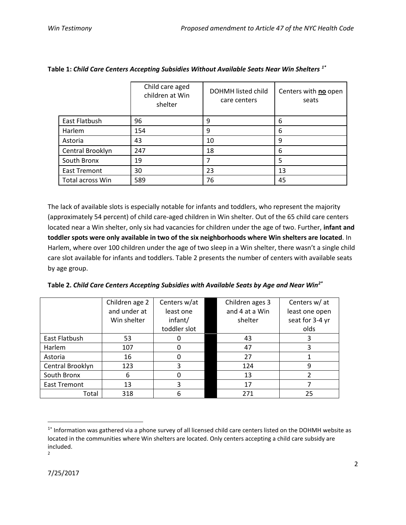|                     | Child care aged<br>children at Win<br>shelter | DOHMH listed child<br>care centers | Centers with no open<br>seats |
|---------------------|-----------------------------------------------|------------------------------------|-------------------------------|
| East Flatbush       | 96                                            | 9                                  | 6                             |
| Harlem              | 154                                           | 9                                  | 6                             |
| Astoria             | 43                                            | 10                                 | 9                             |
| Central Brooklyn    | 247                                           | 18                                 | 6                             |
| South Bronx         | 19                                            |                                    | 5                             |
| <b>East Tremont</b> | 30                                            | 23                                 | 13                            |
| Total across Win    | 589                                           | 76                                 | 45                            |

**Table 1:** *Child Care Centers Accepting Subsidies Without Available Seats Near Win Shelters 1\**

The lack of available slots is especially notable for infants and toddlers, who represent the majority (approximately 54 percent) of child care-aged children in Win shelter. Out of the 65 child care centers located near a Win shelter, only six had vacancies for children under the age of two. Further, **infant and toddler spots were only available in two of the six neighborhoods where Win shelters are located**. In Harlem, where over 100 children under the age of two sleep in a Win shelter, there wasn't a single child care slot available for infants and toddlers. Table 2 presents the number of centers with available seats by age group.

|                     | Children age 2 | Centers w/at | Children ages 3 | Centers w/ at   |
|---------------------|----------------|--------------|-----------------|-----------------|
|                     | and under at   | least one    | and 4 at a Win  | least one open  |
|                     | Win shelter    | infant/      | shelter         | seat for 3-4 yr |
|                     |                | toddler slot |                 | olds            |
| East Flatbush       | 53             |              | 43              | 3               |
| <b>Harlem</b>       | 107            | 0            | 47              | 3               |
| Astoria             | 16             | 0            | 27              |                 |
| Central Brooklyn    | 123            | 3            | 124             | 9               |
| South Bronx         | 6              | 0            | 13              |                 |
| <b>East Tremont</b> | 13             | 3            | 17              |                 |
| Total               | 318            | 6            | 271             | 25              |

l

<sup>&</sup>lt;sup>1\*</sup> Information was gathered via a phone survey of all licensed child care centers listed on the DOHMH website as located in the communities where Win shelters are located. Only centers accepting a child care subsidy are included.

<sup>2</sup>